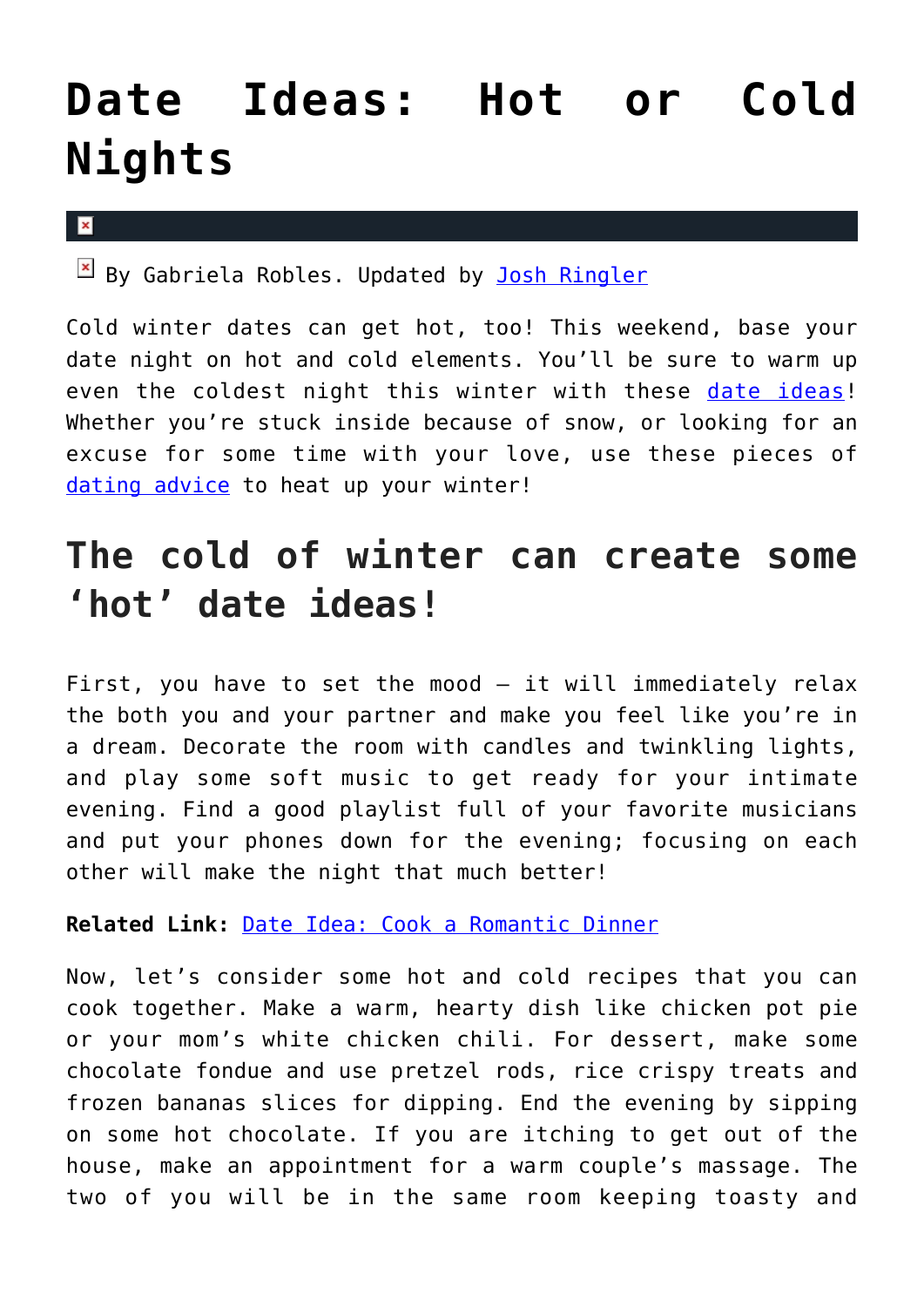## **[Date Ideas: Hot or Cold](https://cupidspulse.com/110475/date-ideas-winter-hot-nights/) [Nights](https://cupidspulse.com/110475/date-ideas-winter-hot-nights/)**

 $\mathbf x$ 

 $\boxed{\times}$  By Gabriela Robles. Updated by [Josh Ringler](http://cupidspulse.com/107401/josh-ringler/)

Cold winter dates can get hot, too! This weekend, base your date night on hot and cold elements. You'll be sure to warm up even the coldest night this winter with these [date ideas!](http://cupidspulse.com/dating/date-ideas/) Whether you're stuck inside because of snow, or looking for an excuse for some time with your love, use these pieces of [dating advice](http://cupidspulse.com/relationship-experts/) to heat up your winter!

## **The cold of winter can create some 'hot' date ideas!**

First, you have to set the mood – it will immediately relax the both you and your partner and make you feel like you're in a dream. Decorate the room with candles and twinkling lights, and play some soft music to get ready for your intimate evening. Find a good playlist full of your favorite musicians and put your phones down for the evening; focusing on each other will make the night that much better!

**Related Link:** [Date Idea: Cook a Romantic Dinner](http://cupidspulse.com/1753/weekend-affairs-if-you-cant-take-the-heat/)

Now, let's consider some hot and cold recipes that you can cook together. Make a warm, hearty dish like chicken pot pie or your mom's white chicken chili. For dessert, make some chocolate fondue and use pretzel rods, rice crispy treats and frozen bananas slices for dipping. End the evening by sipping on some hot chocolate. If you are itching to get out of the house, make an appointment for a warm couple's massage. The two of you will be in the same room keeping toasty and